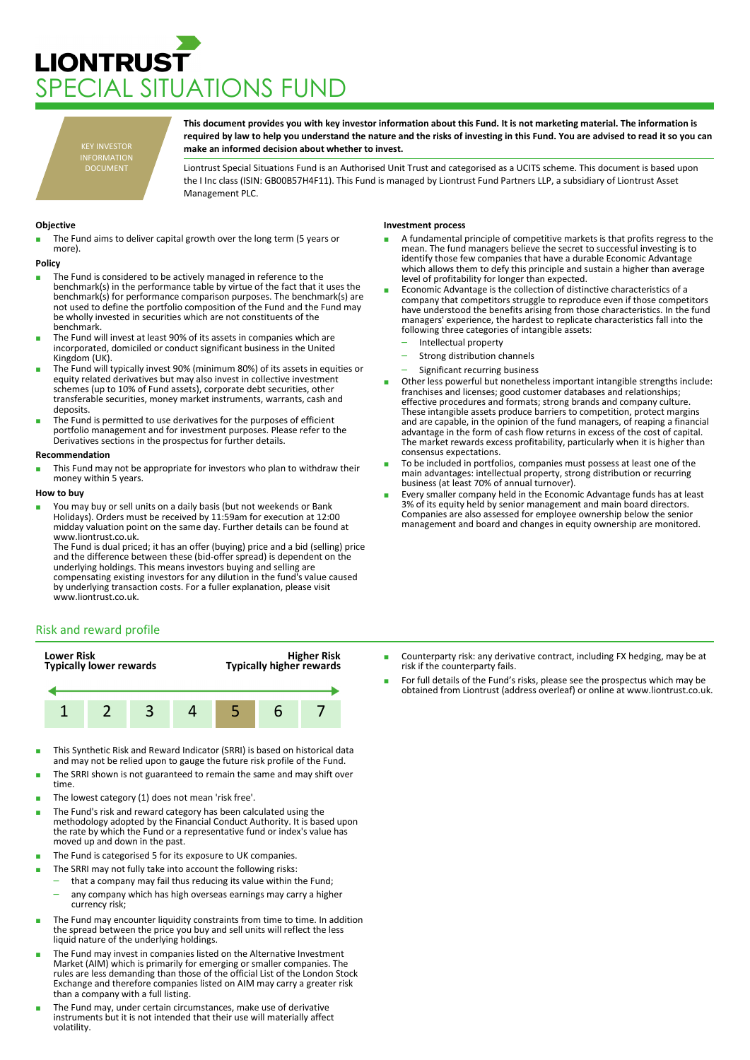# **LIONTRUST** PECIAL SITUATIONS FUND

KEY INVESTOR INFORMATION DOCUMENT

**This document provides you with key investor information about this Fund. It is not marketing material. The information is required by law to help you understand the nature and the risks of investing in this Fund. You are advised to read it so you can make an informed decision about whether to invest.**

Liontrust Special Situations Fund is an Authorised Unit Trust and categorised as a UCITS scheme. This document is based upon the I Inc class (ISIN: GB00B57H4F11). This Fund is managed by Liontrust Fund Partners LLP, a subsidiary of Liontrust Asset Management PLC.

## **Objective**

The Fund aims to deliver capital growth over the long term (5 years or more).

#### **Policy**

- The Fund is considered to be actively managed in reference to the benchmark(s) in the performance table by virtue of the fact that it uses the benchmark(s) for performance comparison purposes. The benchmark(s) are not used to define the portfolio composition of the Fund and the Fund may be wholly invested in securities which are not constituents of the benchmark.
- The Fund will invest at least 90% of its assets in companies which are incorporated, domiciled or conduct significant business in the United Kingdom (UK).
- The Fund will typically invest 90% (minimum 80%) of its assets in equities or equity related derivatives but may also invest in collective investment schemes (up to 10% of Fund assets), corporate debt securities, other transferable securities, money market instruments, warrants, cash and deposits.
- The Fund is permitted to use derivatives for the purposes of efficient portfolio management and for investment purposes. Please refer to the Derivatives sections in the prospectus for further details.

#### **Recommendation**

This Fund may not be appropriate for investors who plan to withdraw their money within 5 years.

### **How to buy**

You may buy or sell units on a daily basis (but not weekends or Bank Holidays). Orders must be received by 11:59am for execution at 12:00 midday valuation point on the same day. Further details can be found at www.liontrust.co.uk.

The Fund is dual priced; it has an offer (buying) price and a bid (selling) price and the difference between these (bid-offer spread) is dependent on the underlying holdings. This means investors buying and selling are compensating existing investors for any dilution in the fund's value caused by underlying transaction costs. For a fuller explanation, please visit www.liontrust.co.uk.

# Risk and reward profile



- This Synthetic Risk and Reward Indicator (SRRI) is based on historical data and may not be relied upon to gauge the future risk profile of the Fund.
- The SRRI shown is not guaranteed to remain the same and may shift over time.
- The lowest category (1) does not mean 'risk free'.
- The Fund's risk and reward category has been calculated using the methodology adopted by the Financial Conduct Authority. It is based upon the rate by which the Fund or a representative fund or index's value has moved up and down in the past.
- The Fund is categorised 5 for its exposure to UK companies.
- The SRRI may not fully take into account the following risks:
- that a company may fail thus reducing its value within the Fund;
- any company which has high overseas earnings may carry a higher currency risk;
- The Fund may encounter liquidity constraints from time to time. In addition the spread between the price you buy and sell units will reflect the less liquid nature of the underlying holdings.
- The Fund may invest in companies listed on the Alternative Investment Market (AIM) which is primarily for emerging or smaller companies. The rules are less demanding than those of the official List of the London Stock Exchange and therefore companies listed on AIM may carry a greater risk than a company with a full listing.
- The Fund may, under certain circumstances, make use of derivative instruments but it is not intended that their use will materially affect volatility.

## **Investment process**

- A fundamental principle of competitive markets is that profits regress to the mean. The fund managers believe the secret to successful investing is to identify those few companies that have a durable Economic Advantage which allows them to defy this principle and sustain a higher than average level of profitability for longer than expected.
- Economic Advantage is the collection of distinctive characteristics of a company that competitors struggle to reproduce even if those competitors have understood the benefits arising from those characteristics. In the fund managers' experience, the hardest to replicate characteristics fall into the following three categories of intangible assets:
	- Intellectual property
	- Strong distribution channels
	- Significant recurring business
- Other less powerful but nonetheless important intangible strengths include: franchises and licenses; good customer databases and relationships; effective procedures and formats; strong brands and company culture. These intangible assets produce barriers to competition, protect margins and are capable, in the opinion of the fund managers, of reaping a financial advantage in the form of cash flow returns in excess of the cost of capital. The market rewards excess profitability, particularly when it is higher than consensus expectations.
- To be included in portfolios, companies must possess at least one of the main advantages: intellectual property, strong distribution or recurring business (at least 70% of annual turnover).
- Every smaller company held in the Economic Advantage funds has at least 3% of its equity held by senior management and main board directors. Companies are also assessed for employee ownership below the senior management and board and changes in equity ownership are monitored.

- Counterparty risk: any derivative contract, including FX hedging, may be at risk if the counterparty fails.
- For full details of the Fund's risks, please see the prospectus which may be obtained from Liontrust (address overleaf) or online at www.liontrust.co.uk.